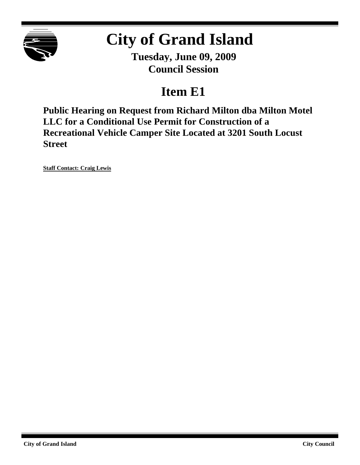

# **City of Grand Island**

**Tuesday, June 09, 2009 Council Session**

# **Item E1**

**Public Hearing on Request from Richard Milton dba Milton Motel LLC for a Conditional Use Permit for Construction of a Recreational Vehicle Camper Site Located at 3201 South Locust Street**

**Staff Contact: Craig Lewis**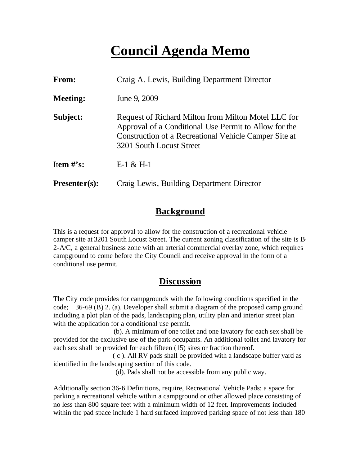# **Council Agenda Memo**

| From:           | Craig A. Lewis, Building Department Director                                                                                                                                                      |
|-----------------|---------------------------------------------------------------------------------------------------------------------------------------------------------------------------------------------------|
| <b>Meeting:</b> | June 9, 2009                                                                                                                                                                                      |
| Subject:        | Request of Richard Milton from Milton Motel LLC for<br>Approval of a Conditional Use Permit to Allow for the<br>Construction of a Recreational Vehicle Camper Site at<br>3201 South Locust Street |
| Item $\#$ 's:   | $E-1 & 4E$ H-1                                                                                                                                                                                    |
| $Presenter(s):$ | Craig Lewis, Building Department Director                                                                                                                                                         |

#### **Background**

This is a request for approval to allow for the construction of a recreational vehicle camper site at 3201 South Locust Street. The current zoning classification of the site is B-2-A/C, a general business zone with an arterial commercial overlay zone, which requires campground to come before the City Council and receive approval in the form of a conditional use permit.

#### **Discussion**

The City code provides for campgrounds with the following conditions specified in the code; 36-69 (B) 2. (a). Developer shall submit a diagram of the proposed camp ground including a plot plan of the pads, landscaping plan, utility plan and interior street plan with the application for a conditional use permit.

 (b). A minimum of one toilet and one lavatory for each sex shall be provided for the exclusive use of the park occupants. An additional toilet and lavatory for each sex shall be provided for each fifteen (15) sites or fraction thereof.

 ( c ). All RV pads shall be provided with a landscape buffer yard as identified in the landscaping section of this code.

(d). Pads shall not be accessible from any public way.

Additionally section 36-6 Definitions, require, Recreational Vehicle Pads: a space for parking a recreational vehicle within a campground or other allowed place consisting of no less than 800 square feet with a minimum width of 12 feet. Improvements included within the pad space include 1 hard surfaced improved parking space of not less than 180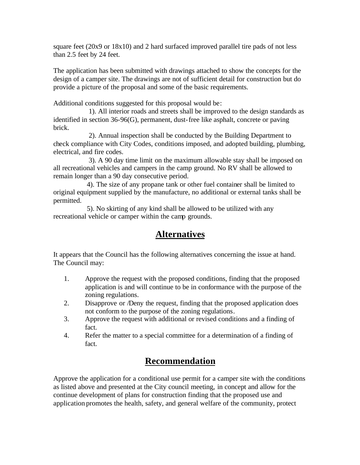square feet (20x9 or 18x10) and 2 hard surfaced improved parallel tire pads of not less than 2.5 feet by 24 feet.

The application has been submitted with drawings attached to show the concepts for the design of a camper site. The drawings are not of sufficient detail for construction but do provide a picture of the proposal and some of the basic requirements.

Additional conditions suggested for this proposal would be:

 1). All interior roads and streets shall be improved to the design standards as identified in section 36-96(G), permanent, dust-free like asphalt, concrete or paving brick.

 2). Annual inspection shall be conducted by the Building Department to check compliance with City Codes, conditions imposed, and adopted building, plumbing, electrical, and fire codes.

 3). A 90 day time limit on the maximum allowable stay shall be imposed on all recreational vehicles and campers in the camp ground. No RV shall be allowed to remain longer than a 90 day consecutive period.

 4). The size of any propane tank or other fuel container shall be limited to original equipment supplied by the manufacture, no additional or external tanks shall be permitted.

 5). No skirting of any kind shall be allowed to be utilized with any recreational vehicle or camper within the camp grounds.

#### **Alternatives**

It appears that the Council has the following alternatives concerning the issue at hand. The Council may:

- 1. Approve the request with the proposed conditions, finding that the proposed application is and will continue to be in conformance with the purpose of the zoning regulations.
- 2. Disapprove or /Deny the request, finding that the proposed application does not conform to the purpose of the zoning regulations.
- 3. Approve the request with additional or revised conditions and a finding of fact.
- 4. Refer the matter to a special committee for a determination of a finding of fact.

#### **Recommendation**

Approve the application for a conditional use permit for a camper site with the conditions as listed above and presented at the City council meeting, in concept and allow for the continue development of plans for construction finding that the proposed use and application promotes the health, safety, and general welfare of the community, protect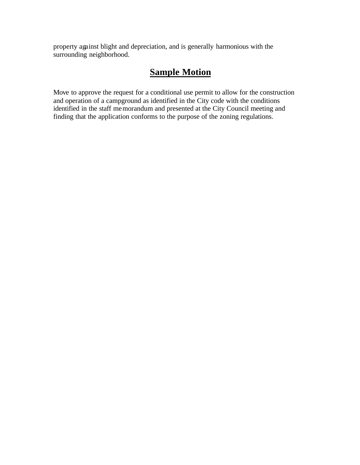property against blight and depreciation, and is generally harmonious with the surrounding neighborhood.

### **Sample Motion**

Move to approve the request for a conditional use permit to allow for the construction and operation of a campground as identified in the City code with the conditions identified in the staff memorandum and presented at the City Council meeting and finding that the application conforms to the purpose of the zoning regulations.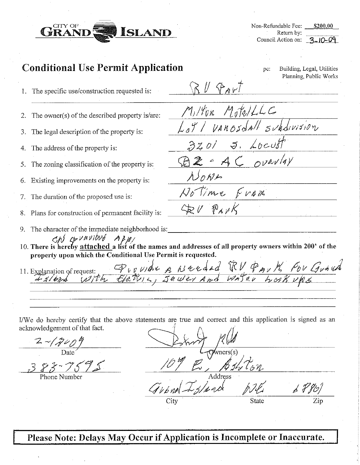

Non-Refundable Fee: \$200.00 Return by: Council Action on:  $3-10-09$ 

pc.

RU PART

NONE

GEU PARK

Milton MotolLLC

 $3201$  J. Locust

BZ = AC overlay

Notime Fram

Loy I VAROSdall subdivision

Building, Legal, Utilities

Planning, Public Works

### **Conditional Use Permit Application**

- 1. The specific use/construction requested is:
- The owner(s) of the described property is/are: 2.
- The legal description of the property is: 3.
- The address of the property is:  $\overline{4}$ .
- The zoning classification of the property is: 5.
- Existing improvements on the property is: 6.
- The duration of the proposed use is: 7.
- Plans for construction of permanent facility is: 8.
- 9. The character of the immediate neighborhood is:
- $\langle \mathcal{M} \rangle$   $\langle \mathcal{M} \rangle$   $\langle \mathcal{M} \rangle$   $\langle \mathcal{M} \rangle$   $\langle \mathcal{M} \rangle$   $\langle \mathcal{M} \rangle$   $\langle \mathcal{M} \rangle$   $\langle \mathcal{M} \rangle$   $\langle \mathcal{M} \rangle$   $\langle \mathcal{M} \rangle$   $\langle \mathcal{M} \rangle$   $\langle \mathcal{M} \rangle$   $\langle \mathcal{M} \rangle$   $\langle \mathcal{M} \rangle$   $\langle \mathcal{M} \rangle$   $\langle \mathcal{M} \rangle$   $\langle \mathcal{M} \rangle$  property upon which the Conditional Use Permit is requested.

11. Explanation of request: Provider & Nerded TRV PAUK For Gunned

I/We do hereby certify that the above statements are true and correct and this application is signed as an acknowledgement of that fact.

 $\frac{2}{\frac{960^2}{2}}$ 

 $383 - 7575$ 

State

Please Note: Delays May Occur if Application is Incomplete or Inaccurate.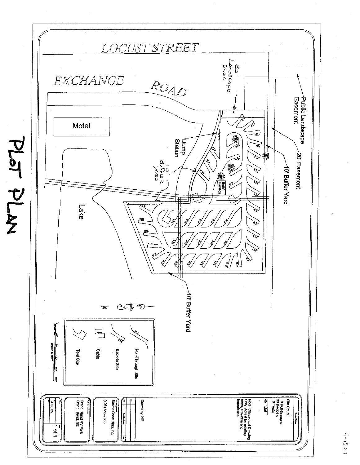

PLaT ALAN

 $\vert \cdot \vert \cdot \vert$  ( )  $\vert \cdot \vert$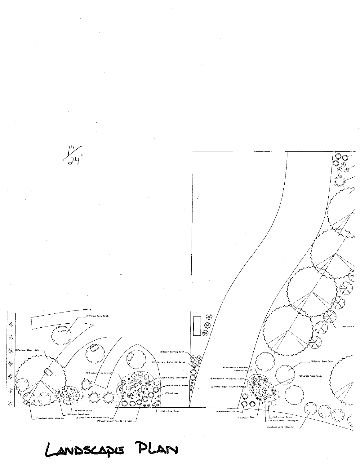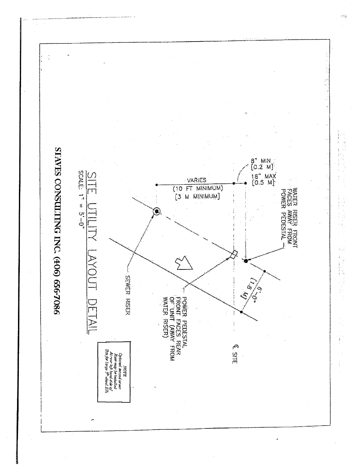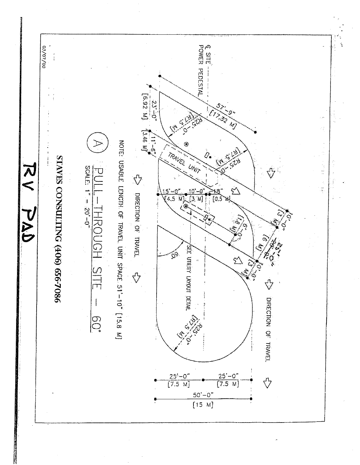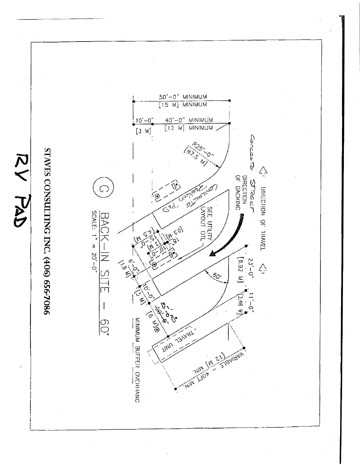